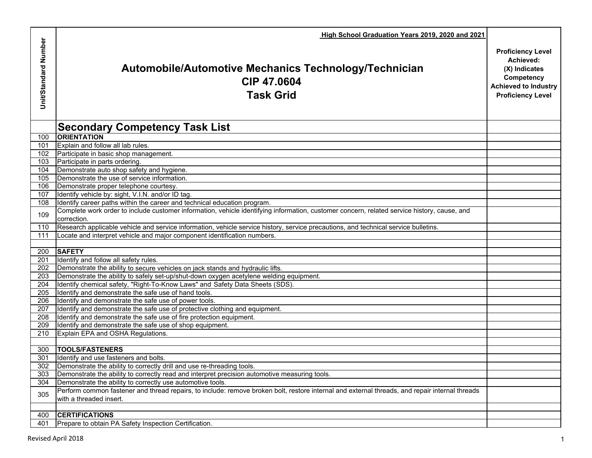|                      | High School Graduation Years 2019, 2020 and 2021                                                                                                           |                                                                                                                                 |
|----------------------|------------------------------------------------------------------------------------------------------------------------------------------------------------|---------------------------------------------------------------------------------------------------------------------------------|
| Unit/Standard Number | Automobile/Automotive Mechanics Technology/Technician<br>CIP 47.0604<br><b>Task Grid</b>                                                                   | <b>Proficiency Level</b><br>Achieved:<br>(X) Indicates<br>Competency<br><b>Achieved to Industry</b><br><b>Proficiency Level</b> |
|                      | <b>Secondary Competency Task List</b>                                                                                                                      |                                                                                                                                 |
| 100                  | <b>ORIENTATION</b>                                                                                                                                         |                                                                                                                                 |
| 101                  | Explain and follow all lab rules.                                                                                                                          |                                                                                                                                 |
| 102                  | Participate in basic shop management.                                                                                                                      |                                                                                                                                 |
| 103                  | Participate in parts ordering.                                                                                                                             |                                                                                                                                 |
| 104                  | Demonstrate auto shop safety and hygiene.                                                                                                                  |                                                                                                                                 |
| 105                  | Demonstrate the use of service information.                                                                                                                |                                                                                                                                 |
| 106                  | Demonstrate proper telephone courtesy.                                                                                                                     |                                                                                                                                 |
| 107                  | Identify vehicle by: sight, V.I.N. and/or ID tag.                                                                                                          |                                                                                                                                 |
| 108                  | Identify career paths within the career and technical education program.                                                                                   |                                                                                                                                 |
| 109                  | Complete work order to include customer information, vehicle identifying information, customer concern, related service history, cause, and<br>correction. |                                                                                                                                 |
| 110                  | Research applicable vehicle and service information, vehicle service history, service precautions, and technical service bulletins.                        |                                                                                                                                 |
| 111                  | Locate and interpret vehicle and major component identification numbers.                                                                                   |                                                                                                                                 |
|                      |                                                                                                                                                            |                                                                                                                                 |
| 200                  | <b>SAFETY</b>                                                                                                                                              |                                                                                                                                 |
| 201                  | Identify and follow all safety rules.                                                                                                                      |                                                                                                                                 |
| 202                  | Demonstrate the ability to secure vehicles on jack stands and hydraulic lifts.                                                                             |                                                                                                                                 |
| 203                  | Demonstrate the ability to safely set-up/shut-down oxygen acetylene welding equipment.                                                                     |                                                                                                                                 |
| 204                  | Identify chemical safety, "Right-To-Know Laws" and Safety Data Sheets (SDS).                                                                               |                                                                                                                                 |
| 205                  | Identify and demonstrate the safe use of hand tools.                                                                                                       |                                                                                                                                 |
| 206                  | Identify and demonstrate the safe use of power tools.                                                                                                      |                                                                                                                                 |
| 207                  | Identify and demonstrate the safe use of protective clothing and equipment.                                                                                |                                                                                                                                 |
| 208                  | Identify and demonstrate the safe use of fire protection equipment.<br>Identify and demonstrate the safe use of shop equipment.                            |                                                                                                                                 |
| 209<br>210           | Explain EPA and OSHA Regulations.                                                                                                                          |                                                                                                                                 |
|                      |                                                                                                                                                            |                                                                                                                                 |
| 300                  | <b>TOOLS/FASTENERS</b>                                                                                                                                     |                                                                                                                                 |
| 301                  | Identify and use fasteners and bolts.                                                                                                                      |                                                                                                                                 |
| 302                  | Demonstrate the ability to correctly drill and use re-threading tools.                                                                                     |                                                                                                                                 |
| 303                  | Demonstrate the ability to correctly read and interpret precision automotive measuring tools.                                                              |                                                                                                                                 |
| 304                  | Demonstrate the ability to correctly use automotive tools.                                                                                                 |                                                                                                                                 |
|                      | Perform common fastener and thread repairs, to include: remove broken bolt, restore internal and external threads, and repair internal threads             |                                                                                                                                 |
| 305                  | with a threaded insert.                                                                                                                                    |                                                                                                                                 |
|                      |                                                                                                                                                            |                                                                                                                                 |
| 400                  | <b>CERTIFICATIONS</b>                                                                                                                                      |                                                                                                                                 |
| 401                  | Prepare to obtain PA Safety Inspection Certification.                                                                                                      |                                                                                                                                 |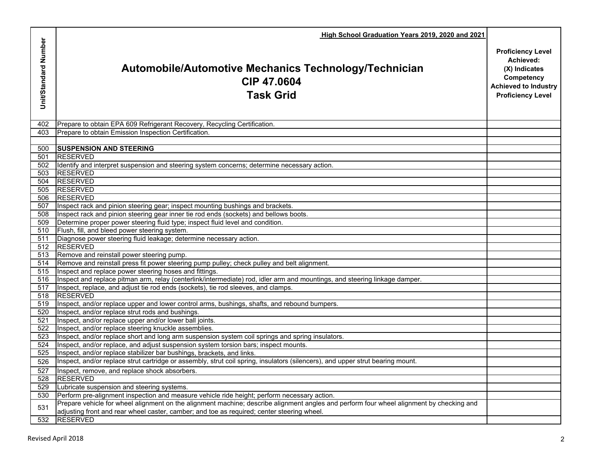|                      | High School Graduation Years 2019, 2020 and 2021                                                                                                         |                                                                                                                                 |
|----------------------|----------------------------------------------------------------------------------------------------------------------------------------------------------|---------------------------------------------------------------------------------------------------------------------------------|
| Unit/Standard Number | Automobile/Automotive Mechanics Technology/Technician<br>CIP 47.0604<br><b>Task Grid</b>                                                                 | <b>Proficiency Level</b><br>Achieved:<br>(X) Indicates<br>Competency<br><b>Achieved to Industry</b><br><b>Proficiency Level</b> |
| 402                  | Prepare to obtain EPA 609 Refrigerant Recovery, Recycling Certification.                                                                                 |                                                                                                                                 |
| 403                  | Prepare to obtain Emission Inspection Certification.                                                                                                     |                                                                                                                                 |
|                      |                                                                                                                                                          |                                                                                                                                 |
| 500                  | <b>SUSPENSION AND STEERING</b>                                                                                                                           |                                                                                                                                 |
| 501                  | <b>RESERVED</b>                                                                                                                                          |                                                                                                                                 |
| 502<br>503           | Identify and interpret suspension and steering system concerns; determine necessary action.<br><b>RESERVED</b>                                           |                                                                                                                                 |
| 504                  | <b>RESERVED</b>                                                                                                                                          |                                                                                                                                 |
| 505                  | <b>RESERVED</b>                                                                                                                                          |                                                                                                                                 |
| 506                  | <b>RESERVED</b>                                                                                                                                          |                                                                                                                                 |
| 507                  | Inspect rack and pinion steering gear; inspect mounting bushings and brackets.                                                                           |                                                                                                                                 |
| 508                  | Inspect rack and pinion steering gear inner tie rod ends (sockets) and bellows boots.                                                                    |                                                                                                                                 |
| 509                  | Determine proper power steering fluid type; inspect fluid level and condition.                                                                           |                                                                                                                                 |
| 510                  | Flush, fill, and bleed power steering system.                                                                                                            |                                                                                                                                 |
| 511                  | Diagnose power steering fluid leakage; determine necessary action.                                                                                       |                                                                                                                                 |
| 512                  | <b>RESERVED</b>                                                                                                                                          |                                                                                                                                 |
| 513                  | Remove and reinstall power steering pump.                                                                                                                |                                                                                                                                 |
| 514                  | Remove and reinstall press fit power steering pump pulley; check pulley and belt alignment.                                                              |                                                                                                                                 |
| 515                  | Inspect and replace power steering hoses and fittings.                                                                                                   |                                                                                                                                 |
| 516                  | Inspect and replace pitman arm, relay (centerlink/intermediate) rod, idler arm and mountings, and steering linkage damper.                               |                                                                                                                                 |
| 517                  | Inspect, replace, and adjust tie rod ends (sockets), tie rod sleeves, and clamps.                                                                        |                                                                                                                                 |
| 518                  | <b>RESERVED</b>                                                                                                                                          |                                                                                                                                 |
| 519                  | Inspect, and/or replace upper and lower control arms, bushings, shafts, and rebound bumpers.                                                             |                                                                                                                                 |
| 520                  | Inspect, and/or replace strut rods and bushings.                                                                                                         |                                                                                                                                 |
| 521<br>522           | Inspect, and/or replace upper and/or lower ball joints.                                                                                                  |                                                                                                                                 |
| 523                  | Inspect, and/or replace steering knuckle assemblies.<br>Inspect, and/or replace short and long arm suspension system coil springs and spring insulators. |                                                                                                                                 |
| 524                  | Inspect, and/or replace, and adjust suspension system torsion bars; inspect mounts.                                                                      |                                                                                                                                 |
| 525                  | Inspect, and/or replace stabilizer bar bushings, brackets, and links.                                                                                    |                                                                                                                                 |
| 526                  | Inspect, and/or replace strut cartridge or assembly, strut coil spring, insulators (silencers), and upper strut bearing mount.                           |                                                                                                                                 |
| 527                  | Inspect, remove, and replace shock absorbers.                                                                                                            |                                                                                                                                 |
| 528                  | <b>RESERVED</b>                                                                                                                                          |                                                                                                                                 |
| 529                  | Lubricate suspension and steering systems.                                                                                                               |                                                                                                                                 |
| 530                  | Perform pre-alignment inspection and measure vehicle ride height; perform necessary action.                                                              |                                                                                                                                 |
|                      | Prepare vehicle for wheel alignment on the alignment machine; describe alignment angles and perform four wheel alignment by checking and                 |                                                                                                                                 |
| 531                  | adjusting front and rear wheel caster, camber; and toe as required; center steering wheel.                                                               |                                                                                                                                 |
| 532                  | <b>RESERVED</b>                                                                                                                                          |                                                                                                                                 |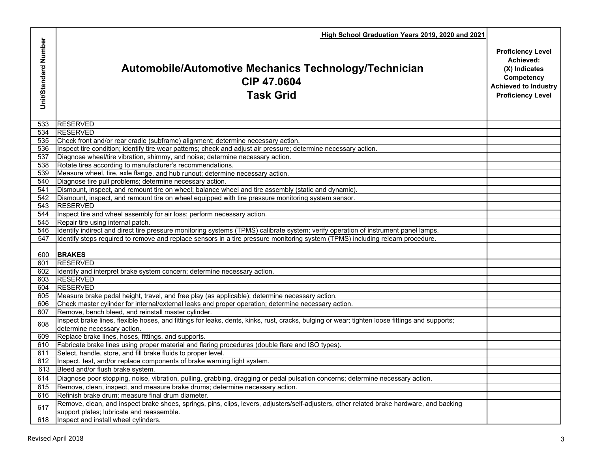|                      | High School Graduation Years 2019, 2020 and 2021                                                                                               |                                                                                                                                 |
|----------------------|------------------------------------------------------------------------------------------------------------------------------------------------|---------------------------------------------------------------------------------------------------------------------------------|
| Unit/Standard Number | Automobile/Automotive Mechanics Technology/Technician<br>CIP 47.0604<br><b>Task Grid</b>                                                       | <b>Proficiency Level</b><br>Achieved:<br>(X) Indicates<br>Competency<br><b>Achieved to Industry</b><br><b>Proficiency Level</b> |
| 533                  | <b>RESERVED</b>                                                                                                                                |                                                                                                                                 |
| 534                  | <b>RESERVED</b>                                                                                                                                |                                                                                                                                 |
| 535                  | Check front and/or rear cradle (subframe) alignment; determine necessary action.                                                               |                                                                                                                                 |
| 536                  | Inspect tire condition; identify tire wear patterns; check and adjust air pressure; determine necessary action.                                |                                                                                                                                 |
| 537                  | Diagnose wheel/tire vibration, shimmy, and noise; determine necessary action.                                                                  |                                                                                                                                 |
| 538                  | Rotate tires according to manufacturer's recommendations.                                                                                      |                                                                                                                                 |
| 539                  | Measure wheel, tire, axle flange, and hub runout; determine necessary action.                                                                  |                                                                                                                                 |
| 540                  | Diagnose tire pull problems; determine necessary action.                                                                                       |                                                                                                                                 |
| 541                  | Dismount, inspect, and remount tire on wheel; balance wheel and tire assembly (static and dynamic).                                            |                                                                                                                                 |
| 542<br>543           | Dismount, inspect, and remount tire on wheel equipped with tire pressure monitoring system sensor.<br><b>RESERVED</b>                          |                                                                                                                                 |
| 544                  | Inspect tire and wheel assembly for air loss; perform necessary action.                                                                        |                                                                                                                                 |
| 545                  | Repair tire using internal patch.                                                                                                              |                                                                                                                                 |
| 546                  | Identify indirect and direct tire pressure monitoring systems (TPMS) calibrate system; verify operation of instrument panel lamps.             |                                                                                                                                 |
| 547                  | Identify steps required to remove and replace sensors in a tire pressure monitoring system (TPMS) including relearn procedure.                 |                                                                                                                                 |
|                      |                                                                                                                                                |                                                                                                                                 |
| 600                  | <b>BRAKES</b>                                                                                                                                  |                                                                                                                                 |
| 601                  | <b>RESERVED</b>                                                                                                                                |                                                                                                                                 |
| 602                  | Identify and interpret brake system concern; determine necessary action.                                                                       |                                                                                                                                 |
| 603                  | <b>RESERVED</b>                                                                                                                                |                                                                                                                                 |
| 604                  | <b>RESERVED</b>                                                                                                                                |                                                                                                                                 |
| 605                  | Measure brake pedal height, travel, and free play (as applicable); determine necessary action.                                                 |                                                                                                                                 |
| 606                  | Check master cylinder for internal/external leaks and proper operation; determine necessary action.                                            |                                                                                                                                 |
| 607                  | Remove, bench bleed, and reinstall master cylinder.                                                                                            |                                                                                                                                 |
| 608                  | Inspect brake lines, flexible hoses, and fittings for leaks, dents, kinks, rust, cracks, bulging or wear; tighten loose fittings and supports; |                                                                                                                                 |
|                      | determine necessary action.                                                                                                                    |                                                                                                                                 |
| 609                  | Replace brake lines, hoses, fittings, and supports.                                                                                            |                                                                                                                                 |
| 610                  | Fabricate brake lines using proper material and flaring procedures (double flare and ISO types)                                                |                                                                                                                                 |
| 611                  | Select, handle, store, and fill brake fluids to proper level.                                                                                  |                                                                                                                                 |
|                      | 612 Inspect, test, and/or replace components of brake warning light system.                                                                    |                                                                                                                                 |
| 613                  | Bleed and/or flush brake system.                                                                                                               |                                                                                                                                 |
| 614                  | Diagnose poor stopping, noise, vibration, pulling, grabbing, dragging or pedal pulsation concerns; determine necessary action.                 |                                                                                                                                 |
| 615                  | Remove, clean, inspect, and measure brake drums; determine necessary action.                                                                   |                                                                                                                                 |
| 616                  | Refinish brake drum; measure final drum diameter.                                                                                              |                                                                                                                                 |
| 617                  | Remove, clean, and inspect brake shoes, springs, pins, clips, levers, adjusters/self-adjusters, other related brake hardware, and backing      |                                                                                                                                 |
|                      | support plates; lubricate and reassemble.                                                                                                      |                                                                                                                                 |
| 618                  | Inspect and install wheel cylinders.                                                                                                           |                                                                                                                                 |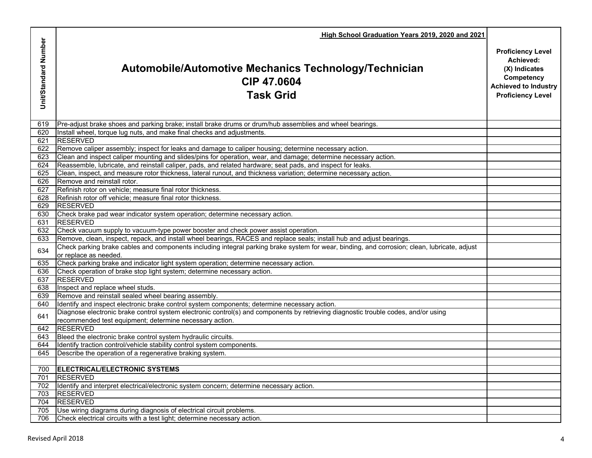|                      | High School Graduation Years 2019, 2020 and 2021                                                                                                                                              |                                                                                                                                 |
|----------------------|-----------------------------------------------------------------------------------------------------------------------------------------------------------------------------------------------|---------------------------------------------------------------------------------------------------------------------------------|
| Unit/Standard Number | Automobile/Automotive Mechanics Technology/Technician<br>CIP 47.0604<br><b>Task Grid</b>                                                                                                      | <b>Proficiency Level</b><br>Achieved:<br>(X) Indicates<br>Competency<br><b>Achieved to Industry</b><br><b>Proficiency Level</b> |
| 619                  | Pre-adjust brake shoes and parking brake; install brake drums or drum/hub assemblies and wheel bearings.                                                                                      |                                                                                                                                 |
| 620                  | Install wheel, torque lug nuts, and make final checks and adjustments.                                                                                                                        |                                                                                                                                 |
| 621                  | <b>RESERVED</b>                                                                                                                                                                               |                                                                                                                                 |
| 622                  | Remove caliper assembly; inspect for leaks and damage to caliper housing; determine necessary action.                                                                                         |                                                                                                                                 |
| 623                  | Clean and inspect caliper mounting and slides/pins for operation, wear, and damage; determine necessary action.                                                                               |                                                                                                                                 |
| 624                  | Reassemble, lubricate, and reinstall caliper, pads, and related hardware; seat pads, and inspect for leaks.                                                                                   |                                                                                                                                 |
| 625<br>626           | Clean, inspect, and measure rotor thickness, lateral runout, and thickness variation; determine necessary action.<br>Remove and reinstall rotor.                                              |                                                                                                                                 |
| 627                  | Refinish rotor on vehicle; measure final rotor thickness.                                                                                                                                     |                                                                                                                                 |
| 628                  | Refinish rotor off vehicle; measure final rotor thickness.                                                                                                                                    |                                                                                                                                 |
| 629                  | <b>RESERVED</b>                                                                                                                                                                               |                                                                                                                                 |
| 630                  | Check brake pad wear indicator system operation; determine necessary action.                                                                                                                  |                                                                                                                                 |
| 631                  | <b>RESERVED</b>                                                                                                                                                                               |                                                                                                                                 |
| 632                  | Check vacuum supply to vacuum-type power booster and check power assist operation.                                                                                                            |                                                                                                                                 |
| 633                  | Remove, clean, inspect, repack, and install wheel bearings, RACES and replace seals; install hub and adjust bearings.                                                                         |                                                                                                                                 |
| 634                  | Check parking brake cables and components including integral parking brake system for wear, binding, and corrosion; clean, lubricate, adjust<br>or replace as needed.                         |                                                                                                                                 |
| 635                  | Check parking brake and indicator light system operation; determine necessary action.                                                                                                         |                                                                                                                                 |
| 636                  | Check operation of brake stop light system; determine necessary action.                                                                                                                       |                                                                                                                                 |
| 637                  | <b>RESERVED</b>                                                                                                                                                                               |                                                                                                                                 |
| 638                  | Inspect and replace wheel studs.                                                                                                                                                              |                                                                                                                                 |
| 639                  | Remove and reinstall sealed wheel bearing assembly.                                                                                                                                           |                                                                                                                                 |
| 640                  | Identify and inspect electronic brake control system components; determine necessary action.                                                                                                  |                                                                                                                                 |
| 641                  | Diagnose electronic brake control system electronic control(s) and components by retrieving diagnostic trouble codes, and/or using<br>recommended test equipment; determine necessary action. |                                                                                                                                 |
| 642                  | <b>RESERVED</b>                                                                                                                                                                               |                                                                                                                                 |
| 643                  | Bleed the electronic brake control system hydraulic circuits.                                                                                                                                 |                                                                                                                                 |
| 644                  | Identify traction control/vehicle stability control system components.                                                                                                                        |                                                                                                                                 |
| 645                  | Describe the operation of a regenerative braking system.                                                                                                                                      |                                                                                                                                 |
|                      |                                                                                                                                                                                               |                                                                                                                                 |
| 700                  | ELECTRICAL/ELECTRONIC SYSTEMS                                                                                                                                                                 |                                                                                                                                 |
| 701                  | <b>RESERVED</b>                                                                                                                                                                               |                                                                                                                                 |
| 702                  | Identify and interpret electrical/electronic system concern; determine necessary action.                                                                                                      |                                                                                                                                 |
| 703                  | <b>RESERVED</b>                                                                                                                                                                               |                                                                                                                                 |
| 704                  | <b>RESERVED</b>                                                                                                                                                                               |                                                                                                                                 |
| 705                  | Use wiring diagrams during diagnosis of electrical circuit problems.                                                                                                                          |                                                                                                                                 |
| 706                  | Check electrical circuits with a test light; determine necessary action.                                                                                                                      |                                                                                                                                 |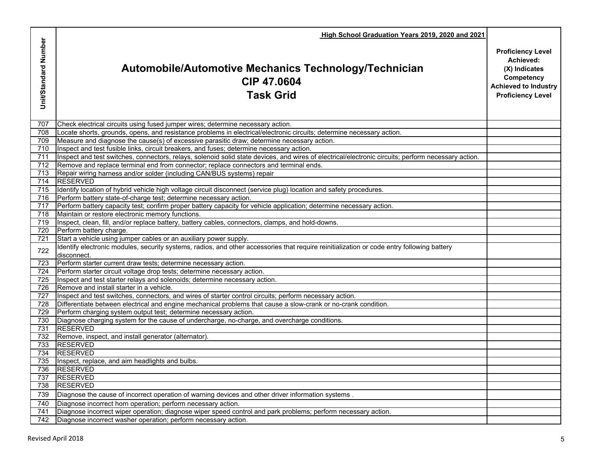|                      | High School Graduation Years 2019, 2020 and 2021                                                                                                                                        |                                                                                                                                 |
|----------------------|-----------------------------------------------------------------------------------------------------------------------------------------------------------------------------------------|---------------------------------------------------------------------------------------------------------------------------------|
| Unit/Standard Number | Automobile/Automotive Mechanics Technology/Technician<br>CIP 47,0604<br><b>Task Grid</b>                                                                                                | <b>Proficiency Level</b><br>Achieved:<br>(X) Indicates<br>Competency<br><b>Achieved to Industry</b><br><b>Proficiency Level</b> |
| 707                  | Check electrical circuits using fused jumper wires; determine necessary action.                                                                                                         |                                                                                                                                 |
| 708                  | Locate shorts, grounds, opens, and resistance problems in electrical/electronic circuits; determine necessary action.                                                                   |                                                                                                                                 |
| 709                  | Measure and diagnose the cause(s) of excessive parasitic draw; determine necessary action.                                                                                              |                                                                                                                                 |
| 710                  | Inspect and test fusible links, circuit breakers, and fuses; determine necessary action.                                                                                                |                                                                                                                                 |
| 711                  | Inspect and test switches, connectors, relays, solenoid solid state devices, and wires of electrical/electronic circuits; perform necessary action.                                     |                                                                                                                                 |
| 712                  | Remove and replace terminal end from connector; replace connectors and terminal ends.                                                                                                   |                                                                                                                                 |
| 713                  | Repair wiring harness and/or solder (including CAN/BUS systems) repair                                                                                                                  |                                                                                                                                 |
| 714                  | <b>RESERVED</b>                                                                                                                                                                         |                                                                                                                                 |
| 715<br>716           | Identify location of hybrid vehicle high voltage circuit disconnect (service plug) location and safety procedures.<br>Perform battery state-of-charge test; determine necessary action. |                                                                                                                                 |
| 717                  | Perform battery capacity test; confirm proper battery capacity for vehicle application; determine necessary action.                                                                     |                                                                                                                                 |
| 718                  | Maintain or restore electronic memory functions.                                                                                                                                        |                                                                                                                                 |
| 719                  | Inspect, clean, fill, and/or replace battery, battery cables, connectors, clamps, and hold-downs.                                                                                       |                                                                                                                                 |
| 720                  | Perform battery charge.                                                                                                                                                                 |                                                                                                                                 |
| 721                  | Start a vehicle using jumper cables or an auxiliary power supply.                                                                                                                       |                                                                                                                                 |
| 722                  | Identify electronic modules, security systems, radios, and other accessories that require reinitialization or code entry following battery<br>disconnect.                               |                                                                                                                                 |
| 723                  | Perform starter current draw tests; determine necessary action.                                                                                                                         |                                                                                                                                 |
| 724                  | Perform starter circuit voltage drop tests; determine necessary action.                                                                                                                 |                                                                                                                                 |
| 725                  | Inspect and test starter relays and solenoids; determine necessary action.                                                                                                              |                                                                                                                                 |
| 726                  | Remove and install starter in a vehicle.                                                                                                                                                |                                                                                                                                 |
| 727                  | Inspect and test switches, connectors, and wires of starter control circuits; perform necessary action.                                                                                 |                                                                                                                                 |
| 728                  | Differentiate between electrical and engine mechanical problems that cause a slow-crank or no-crank condition.                                                                          |                                                                                                                                 |
| 729                  | Perform charging system output test; determine necessary action.                                                                                                                        |                                                                                                                                 |
| 730                  | Diagnose charging system for the cause of undercharge, no-charge, and overcharge conditions.                                                                                            |                                                                                                                                 |
| 731                  | <b>RESERVED</b>                                                                                                                                                                         |                                                                                                                                 |
| 732                  | Remove, inspect, and install generator (alternator).                                                                                                                                    |                                                                                                                                 |
| 733                  | <b>RESERVED</b>                                                                                                                                                                         |                                                                                                                                 |
| 734                  | <b>RESERVED</b>                                                                                                                                                                         |                                                                                                                                 |
|                      | 735 Inspect, replace, and aim headlights and bulbs.                                                                                                                                     |                                                                                                                                 |
| 736                  | <b>RESERVED</b>                                                                                                                                                                         |                                                                                                                                 |
| 737                  | <b>RESERVED</b>                                                                                                                                                                         |                                                                                                                                 |
| 738                  | <b>RESERVED</b>                                                                                                                                                                         |                                                                                                                                 |
| 739                  | Diagnose the cause of incorrect operation of warning devices and other driver information systems.                                                                                      |                                                                                                                                 |
| 740                  | Diagnose incorrect horn operation; perform necessary action.                                                                                                                            |                                                                                                                                 |
| 741                  | Diagnose incorrect wiper operation; diagnose wiper speed control and park problems; perform necessary action.                                                                           |                                                                                                                                 |
| 742                  | Diagnose incorrect washer operation; perform necessary action.                                                                                                                          |                                                                                                                                 |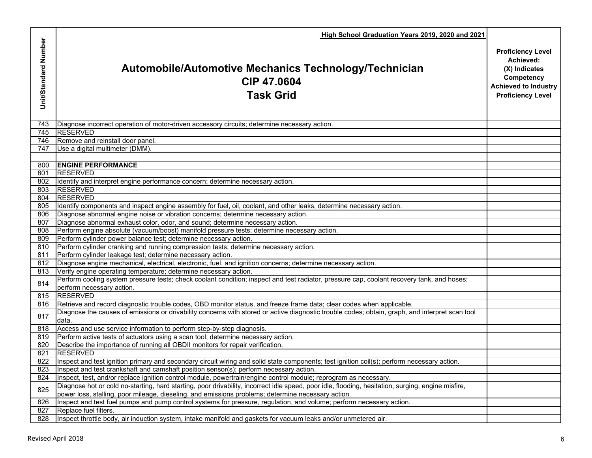|                      | High School Graduation Years 2019, 2020 and 2021                                                                                                                                                               |                                                                                                                                 |
|----------------------|----------------------------------------------------------------------------------------------------------------------------------------------------------------------------------------------------------------|---------------------------------------------------------------------------------------------------------------------------------|
| Unit/Standard Number | Automobile/Automotive Mechanics Technology/Technician<br>CIP 47.0604<br><b>Task Grid</b>                                                                                                                       | <b>Proficiency Level</b><br>Achieved:<br>(X) Indicates<br>Competency<br><b>Achieved to Industry</b><br><b>Proficiency Level</b> |
| 743                  | Diagnose incorrect operation of motor-driven accessory circuits; determine necessary action.                                                                                                                   |                                                                                                                                 |
| 745                  | <b>RESERVED</b>                                                                                                                                                                                                |                                                                                                                                 |
| 746                  | Remove and reinstall door panel.                                                                                                                                                                               |                                                                                                                                 |
| 747                  | Use a digital multimeter (DMM).                                                                                                                                                                                |                                                                                                                                 |
| 800                  | <b>ENGINE PERFORMANCE</b>                                                                                                                                                                                      |                                                                                                                                 |
| 801                  | <b>RESERVED</b>                                                                                                                                                                                                |                                                                                                                                 |
| 802                  | Identify and interpret engine performance concern; determine necessary action.                                                                                                                                 |                                                                                                                                 |
| 803                  | <b>RESERVED</b>                                                                                                                                                                                                |                                                                                                                                 |
| 804                  | <b>RESERVED</b>                                                                                                                                                                                                |                                                                                                                                 |
| 805                  | Identify components and inspect engine assembly for fuel, oil, coolant, and other leaks, determine necessary action.                                                                                           |                                                                                                                                 |
| 806                  | Diagnose abnormal engine noise or vibration concerns; determine necessary action.                                                                                                                              |                                                                                                                                 |
| 807                  | Diagnose abnormal exhaust color, odor, and sound; determine necessary action.                                                                                                                                  |                                                                                                                                 |
| 808                  | Perform engine absolute (vacuum/boost) manifold pressure tests; determine necessary action.                                                                                                                    |                                                                                                                                 |
| 809                  | Perform cylinder power balance test; determine necessary action.                                                                                                                                               |                                                                                                                                 |
| 810                  | Perform cylinder cranking and running compression tests; determine necessary action.                                                                                                                           |                                                                                                                                 |
| 811                  | Perform cylinder leakage test; determine necessary action.                                                                                                                                                     |                                                                                                                                 |
| 812                  | Diagnose engine mechanical, electrical, electronic, fuel, and ignition concerns; determine necessary action.                                                                                                   |                                                                                                                                 |
| 813                  | Verify engine operating temperature; determine necessary action.<br>Perform cooling system pressure tests; check coolant condition; inspect and test radiator, pressure cap, coolant recovery tank, and hoses; |                                                                                                                                 |
| 814                  | perform necessary action.                                                                                                                                                                                      |                                                                                                                                 |
| 815                  | <b>RESERVED</b>                                                                                                                                                                                                |                                                                                                                                 |
| 816                  | Retrieve and record diagnostic trouble codes, OBD monitor status, and freeze frame data; clear codes when applicable.                                                                                          |                                                                                                                                 |
|                      | Diagnose the causes of emissions or drivability concerns with stored or active diagnostic trouble codes; obtain, graph, and interpret scan tool                                                                |                                                                                                                                 |
| 817                  | data.                                                                                                                                                                                                          |                                                                                                                                 |
| 818                  | Access and use service information to perform step-by-step diagnosis.                                                                                                                                          |                                                                                                                                 |
| 819                  | Perform active tests of actuators using a scan tool; determine necessary action.                                                                                                                               |                                                                                                                                 |
| 820                  | Describe the importance of running all OBDII monitors for repair verification.                                                                                                                                 |                                                                                                                                 |
| 821                  | <b>RESERVED</b>                                                                                                                                                                                                |                                                                                                                                 |
| 822                  | Inspect and test ignition primary and secondary circuit wiring and solid state components; test ignition coil(s); perform necessary action                                                                     |                                                                                                                                 |
| 823                  | Inspect and test crankshaft and camshaft position sensor(s); perform necessary action.                                                                                                                         |                                                                                                                                 |
| 824                  | Inspect, test, and/or replace ignition control module, powertrain/engine control module; reprogram as necessary.                                                                                               |                                                                                                                                 |
| 825                  | Diagnose hot or cold no-starting, hard starting, poor drivability, incorrect idle speed, poor idle, flooding, hesitation, surging, engine misfire,                                                             |                                                                                                                                 |
|                      | power loss, stalling, poor mileage, dieseling, and emissions problems; determine necessary action.                                                                                                             |                                                                                                                                 |
| 826                  | Inspect and test fuel pumps and pump control systems for pressure, regulation, and volume; perform necessary action.                                                                                           |                                                                                                                                 |
| 827                  | Replace fuel filters.                                                                                                                                                                                          |                                                                                                                                 |
| 828                  | Inspect throttle body, air induction system, intake manifold and gaskets for vacuum leaks and/or unmetered air.                                                                                                |                                                                                                                                 |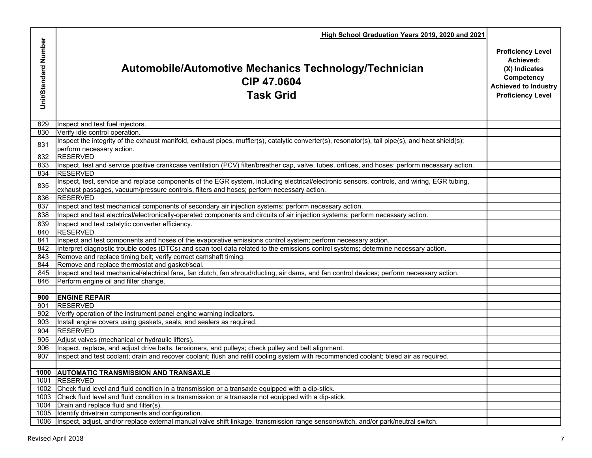| Unit/Standard Number<br>Achieved:<br><b>Automobile/Automotive Mechanics Technology/Technician</b><br>(X) Indicates<br>Competency<br>CIP 47.0604<br><b>Task Grid</b><br>829<br>Inspect and test fuel injectors.<br>Verify idle control operation.<br>830<br>Inspect the integrity of the exhaust manifold, exhaust pipes, muffler(s), catalytic converter(s), resonator(s), tail pipe(s), and heat shield(s);<br>831<br>perform necessary action.<br><b>RESERVED</b><br>832<br>Inspect, test and service positive crankcase ventilation (PCV) filter/breather cap, valve, tubes, orifices, and hoses; perform necessary action.<br>833<br><b>RESERVED</b><br>834 | High School Graduation Years 2019, 2020 and 2021 |                                                                                     |
|-----------------------------------------------------------------------------------------------------------------------------------------------------------------------------------------------------------------------------------------------------------------------------------------------------------------------------------------------------------------------------------------------------------------------------------------------------------------------------------------------------------------------------------------------------------------------------------------------------------------------------------------------------------------|--------------------------------------------------|-------------------------------------------------------------------------------------|
|                                                                                                                                                                                                                                                                                                                                                                                                                                                                                                                                                                                                                                                                 |                                                  | <b>Proficiency Level</b><br><b>Achieved to Industry</b><br><b>Proficiency Level</b> |
|                                                                                                                                                                                                                                                                                                                                                                                                                                                                                                                                                                                                                                                                 |                                                  |                                                                                     |
|                                                                                                                                                                                                                                                                                                                                                                                                                                                                                                                                                                                                                                                                 |                                                  |                                                                                     |
|                                                                                                                                                                                                                                                                                                                                                                                                                                                                                                                                                                                                                                                                 |                                                  |                                                                                     |
|                                                                                                                                                                                                                                                                                                                                                                                                                                                                                                                                                                                                                                                                 |                                                  |                                                                                     |
|                                                                                                                                                                                                                                                                                                                                                                                                                                                                                                                                                                                                                                                                 |                                                  |                                                                                     |
|                                                                                                                                                                                                                                                                                                                                                                                                                                                                                                                                                                                                                                                                 |                                                  |                                                                                     |
| Inspect, test, service and replace components of the EGR system, including electrical/electronic sensors, controls, and wiring, EGR tubing,<br>835<br>exhaust passages, vacuum/pressure controls, filters and hoses; perform necessary action.                                                                                                                                                                                                                                                                                                                                                                                                                  |                                                  |                                                                                     |
| 836<br><b>RESERVED</b>                                                                                                                                                                                                                                                                                                                                                                                                                                                                                                                                                                                                                                          |                                                  |                                                                                     |
| Inspect and test mechanical components of secondary air injection systems; perform necessary action.<br>837                                                                                                                                                                                                                                                                                                                                                                                                                                                                                                                                                     |                                                  |                                                                                     |
| Inspect and test electrical/electronically-operated components and circuits of air injection systems; perform necessary action.<br>838                                                                                                                                                                                                                                                                                                                                                                                                                                                                                                                          |                                                  |                                                                                     |
| Inspect and test catalytic converter efficiency.<br>839                                                                                                                                                                                                                                                                                                                                                                                                                                                                                                                                                                                                         |                                                  |                                                                                     |
| <b>RESERVED</b><br>840                                                                                                                                                                                                                                                                                                                                                                                                                                                                                                                                                                                                                                          |                                                  |                                                                                     |
| Inspect and test components and hoses of the evaporative emissions control system; perform necessary action.<br>841                                                                                                                                                                                                                                                                                                                                                                                                                                                                                                                                             |                                                  |                                                                                     |
| Interpret diagnostic trouble codes (DTCs) and scan tool data related to the emissions control systems; determine necessary action.<br>842                                                                                                                                                                                                                                                                                                                                                                                                                                                                                                                       |                                                  |                                                                                     |
| 843<br>Remove and replace timing belt; verify correct camshaft timing.                                                                                                                                                                                                                                                                                                                                                                                                                                                                                                                                                                                          |                                                  |                                                                                     |
| Remove and replace thermostat and gasket/seal.<br>844<br>Inspect and test mechanical/electrical fans, fan clutch, fan shroud/ducting, air dams, and fan control devices; perform necessary action.                                                                                                                                                                                                                                                                                                                                                                                                                                                              |                                                  |                                                                                     |
| 845<br>846<br>Perform engine oil and filter change.                                                                                                                                                                                                                                                                                                                                                                                                                                                                                                                                                                                                             |                                                  |                                                                                     |
|                                                                                                                                                                                                                                                                                                                                                                                                                                                                                                                                                                                                                                                                 |                                                  |                                                                                     |
| <b>ENGINE REPAIR</b><br>900                                                                                                                                                                                                                                                                                                                                                                                                                                                                                                                                                                                                                                     |                                                  |                                                                                     |
| <b>RESERVED</b><br>901                                                                                                                                                                                                                                                                                                                                                                                                                                                                                                                                                                                                                                          |                                                  |                                                                                     |
| Verify operation of the instrument panel engine warning indicators.<br>902                                                                                                                                                                                                                                                                                                                                                                                                                                                                                                                                                                                      |                                                  |                                                                                     |
| Install engine covers using gaskets, seals, and sealers as required.<br>903                                                                                                                                                                                                                                                                                                                                                                                                                                                                                                                                                                                     |                                                  |                                                                                     |
| <b>RESERVED</b><br>904                                                                                                                                                                                                                                                                                                                                                                                                                                                                                                                                                                                                                                          |                                                  |                                                                                     |
| Adjust valves (mechanical or hydraulic lifters).<br>905                                                                                                                                                                                                                                                                                                                                                                                                                                                                                                                                                                                                         |                                                  |                                                                                     |
| Inspect, replace, and adjust drive belts, tensioners, and pulleys; check pulley and belt alignment.<br>906                                                                                                                                                                                                                                                                                                                                                                                                                                                                                                                                                      |                                                  |                                                                                     |
| Inspect and test coolant; drain and recover coolant; flush and refill cooling system with recommended coolant; bleed air as required.<br>907                                                                                                                                                                                                                                                                                                                                                                                                                                                                                                                    |                                                  |                                                                                     |
|                                                                                                                                                                                                                                                                                                                                                                                                                                                                                                                                                                                                                                                                 |                                                  |                                                                                     |
| 1000 AUTOMATIC TRANSMISSION AND TRANSAXLE                                                                                                                                                                                                                                                                                                                                                                                                                                                                                                                                                                                                                       |                                                  |                                                                                     |
| <b>RESERVED</b><br>1001<br>Check fluid level and fluid condition in a transmission or a transaxle equipped with a dip-stick.                                                                                                                                                                                                                                                                                                                                                                                                                                                                                                                                    |                                                  |                                                                                     |
| 1002<br>Check fluid level and fluid condition in a transmission or a transaxle not equipped with a dip-stick.<br>1003                                                                                                                                                                                                                                                                                                                                                                                                                                                                                                                                           |                                                  |                                                                                     |
| $10\overline{04}$<br>Drain and replace fluid and filter(s)                                                                                                                                                                                                                                                                                                                                                                                                                                                                                                                                                                                                      |                                                  |                                                                                     |
| 1005<br>Identify drivetrain components and configuration.                                                                                                                                                                                                                                                                                                                                                                                                                                                                                                                                                                                                       |                                                  |                                                                                     |
| Inspect, adjust, and/or replace external manual valve shift linkage, transmission range sensor/switch, and/or park/neutral switch.<br>1006                                                                                                                                                                                                                                                                                                                                                                                                                                                                                                                      |                                                  |                                                                                     |